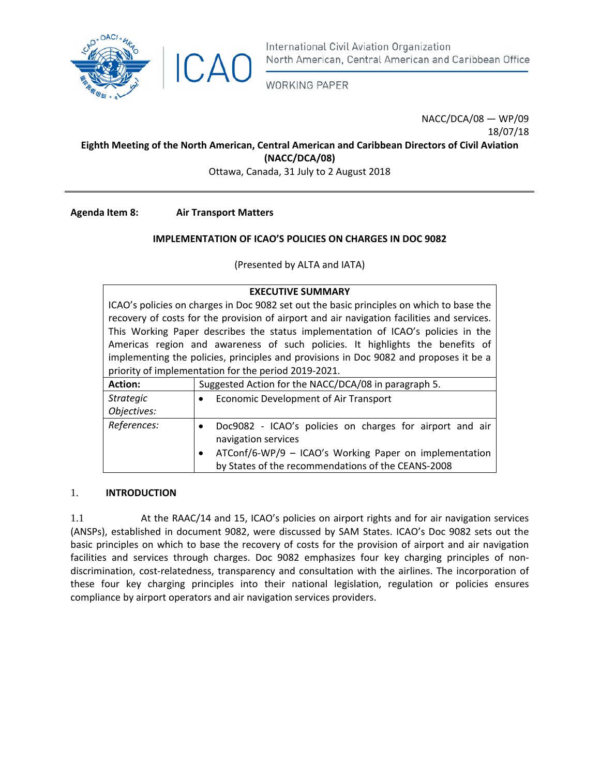

International Civil Aviation Organization North American, Central American and Caribbean Office

**WORKING PAPER** 

NACC/DCA/08 — WP/09 18/07/18

#### **Eighth Meeting of the North American, Central American and Caribbean Directors of Civil Aviation (NACC/DCA/08)**

Ottawa, Canada, 31 July to 2 August 2018

**Agenda Item 8: Air Transport Matters**

# **IMPLEMENTATION OF ICAO'S POLICIES ON CHARGES IN DOC 9082**

(Presented by ALTA and IATA)

| <b>EXECUTIVE SUMMARY</b>                                                                   |                                                                       |
|--------------------------------------------------------------------------------------------|-----------------------------------------------------------------------|
| ICAO's policies on charges in Doc 9082 set out the basic principles on which to base the   |                                                                       |
| recovery of costs for the provision of airport and air navigation facilities and services. |                                                                       |
| This Working Paper describes the status implementation of ICAO's policies in the           |                                                                       |
| Americas region and awareness of such policies. It highlights the benefits of              |                                                                       |
| implementing the policies, principles and provisions in Doc 9082 and proposes it be a      |                                                                       |
| priority of implementation for the period 2019-2021.                                       |                                                                       |
| <b>Action:</b>                                                                             | Suggested Action for the NACC/DCA/08 in paragraph 5.                  |
| <b>Strategic</b>                                                                           | <b>Economic Development of Air Transport</b><br>$\bullet$             |
| Objectives:                                                                                |                                                                       |
| References:                                                                                | Doc9082 - ICAO's policies on charges for airport and air<br>$\bullet$ |
|                                                                                            | navigation services                                                   |
|                                                                                            | ATConf/6-WP/9 - ICAO's Working Paper on implementation<br>$\bullet$   |
|                                                                                            | by States of the recommendations of the CEANS-2008                    |

### 1. **INTRODUCTION**

1.1 At the RAAC/14 and 15, ICAO's policies on airport rights and for air navigation services (ANSPs), established in document 9082, were discussed by SAM States. ICAO's Doc 9082 sets out the basic principles on which to base the recovery of costs for the provision of airport and air navigation facilities and services through charges. Doc 9082 emphasizes four key charging principles of non‐ discrimination, cost-relatedness, transparency and consultation with the airlines. The incorporation of these four key charging principles into their national legislation, regulation or policies ensures compliance by airport operators and air navigation services providers.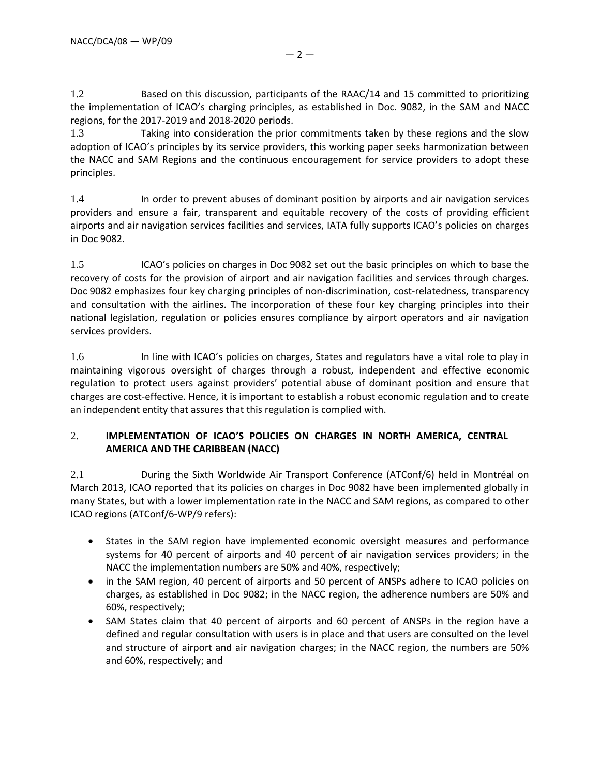1.2 Based on this discussion, participants of the RAAC/14 and 15 committed to prioritizing the implementation of ICAO's charging principles, as established in Doc. 9082, in the SAM and NACC regions, for the 2017‐2019 and 2018‐2020 periods.

1.3 Taking into consideration the prior commitments taken by these regions and the slow adoption of ICAO's principles by its service providers, this working paper seeks harmonization between the NACC and SAM Regions and the continuous encouragement for service providers to adopt these principles.

1.4 In order to prevent abuses of dominant position by airports and air navigation services providers and ensure a fair, transparent and equitable recovery of the costs of providing efficient airports and air navigation services facilities and services, IATA fully supports ICAO's policies on charges in Doc 9082.

1.5 ICAO's policies on charges in Doc 9082 set out the basic principles on which to base the recovery of costs for the provision of airport and air navigation facilities and services through charges. Doc 9082 emphasizes four key charging principles of non-discrimination, cost-relatedness, transparency and consultation with the airlines. The incorporation of these four key charging principles into their national legislation, regulation or policies ensures compliance by airport operators and air navigation services providers.

1.6 In line with ICAO's policies on charges, States and regulators have a vital role to play in maintaining vigorous oversight of charges through a robust, independent and effective economic regulation to protect users against providers' potential abuse of dominant position and ensure that charges are cost‐effective. Hence, it is important to establish a robust economic regulation and to create an independent entity that assures that this regulation is complied with.

# 2. **IMPLEMENTATION OF ICAO'S POLICIES ON CHARGES IN NORTH AMERICA, CENTRAL AMERICA AND THE CARIBBEAN (NACC)**

2.1 During the Sixth Worldwide Air Transport Conference (ATConf/6) held in Montréal on March 2013, ICAO reported that its policies on charges in Doc 9082 have been implemented globally in many States, but with a lower implementation rate in the NACC and SAM regions, as compared to other ICAO regions (ATConf/6‐WP/9 refers):

- States in the SAM region have implemented economic oversight measures and performance systems for 40 percent of airports and 40 percent of air navigation services providers; in the NACC the implementation numbers are 50% and 40%, respectively;
- in the SAM region, 40 percent of airports and 50 percent of ANSPs adhere to ICAO policies on charges, as established in Doc 9082; in the NACC region, the adherence numbers are 50% and 60%, respectively;
- SAM States claim that 40 percent of airports and 60 percent of ANSPs in the region have a defined and regular consultation with users is in place and that users are consulted on the level and structure of airport and air navigation charges; in the NACC region, the numbers are 50% and 60%, respectively; and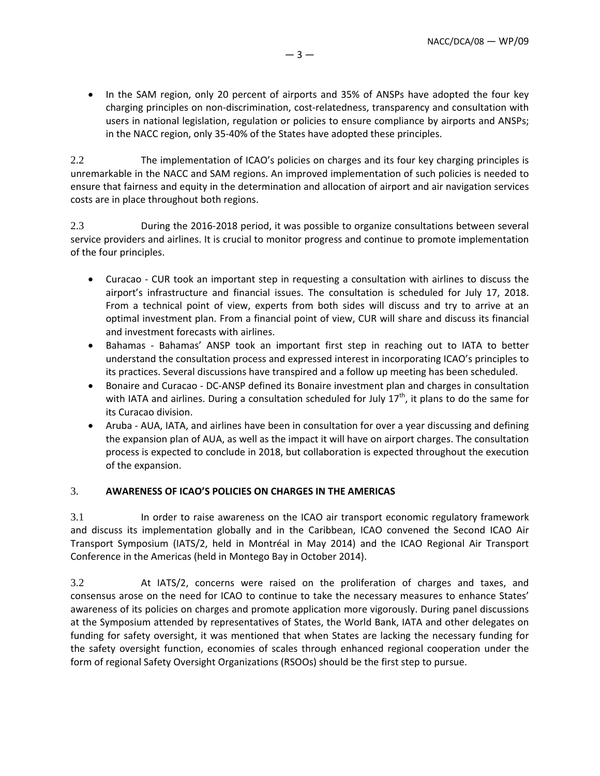• In the SAM region, only 20 percent of airports and 35% of ANSPs have adopted the four key charging principles on non-discrimination, cost-relatedness, transparency and consultation with users in national legislation, regulation or policies to ensure compliance by airports and ANSPs; in the NACC region, only 35‐40% of the States have adopted these principles.

2.2 The implementation of ICAO's policies on charges and its four key charging principles is unremarkable in the NACC and SAM regions. An improved implementation of such policies is needed to ensure that fairness and equity in the determination and allocation of airport and air navigation services costs are in place throughout both regions.

2.3 During the 2016‐2018 period, it was possible to organize consultations between several service providers and airlines. It is crucial to monitor progress and continue to promote implementation of the four principles.

- Curacao ‐ CUR took an important step in requesting a consultation with airlines to discuss the airport's infrastructure and financial issues. The consultation is scheduled for July 17, 2018. From a technical point of view, experts from both sides will discuss and try to arrive at an optimal investment plan. From a financial point of view, CUR will share and discuss its financial and investment forecasts with airlines.
- Bahamas Bahamas' ANSP took an important first step in reaching out to IATA to better understand the consultation process and expressed interest in incorporating ICAO's principles to its practices. Several discussions have transpired and a follow up meeting has been scheduled.
- Bonaire and Curacao ‐ DC‐ANSP defined its Bonaire investment plan and charges in consultation with IATA and airlines. During a consultation scheduled for July  $17<sup>th</sup>$ , it plans to do the same for its Curacao division.
- Aruba ‐ AUA, IATA, and airlines have been in consultation for over a year discussing and defining the expansion plan of AUA, as well as the impact it will have on airport charges. The consultation process is expected to conclude in 2018, but collaboration is expected throughout the execution of the expansion.

# 3. **AWARENESS OF ICAO'S POLICIES ON CHARGES IN THE AMERICAS**

3.1 In order to raise awareness on the ICAO air transport economic regulatory framework and discuss its implementation globally and in the Caribbean, ICAO convened the Second ICAO Air Transport Symposium (IATS/2, held in Montréal in May 2014) and the ICAO Regional Air Transport Conference in the Americas (held in Montego Bay in October 2014).

3.2 At IATS/2, concerns were raised on the proliferation of charges and taxes, and consensus arose on the need for ICAO to continue to take the necessary measures to enhance States' awareness of its policies on charges and promote application more vigorously. During panel discussions at the Symposium attended by representatives of States, the World Bank, IATA and other delegates on funding for safety oversight, it was mentioned that when States are lacking the necessary funding for the safety oversight function, economies of scales through enhanced regional cooperation under the form of regional Safety Oversight Organizations (RSOOs) should be the first step to pursue.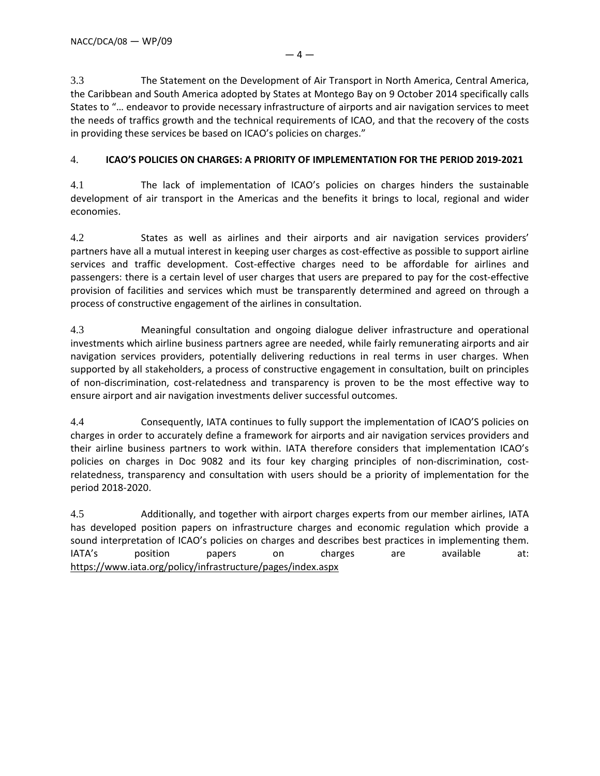3.3 The Statement on the Development of Air Transport in North America, Central America, the Caribbean and South America adopted by States at Montego Bay on 9 October 2014 specifically calls States to "… endeavor to provide necessary infrastructure of airports and air navigation services to meet the needs of traffics growth and the technical requirements of ICAO, and that the recovery of the costs in providing these services be based on ICAO's policies on charges."

## 4. **ICAO'S POLICIES ON CHARGES: A PRIORITY OF IMPLEMENTATION FOR THE PERIOD 2019‐2021**

4.1 The lack of implementation of ICAO's policies on charges hinders the sustainable development of air transport in the Americas and the benefits it brings to local, regional and wider economies.

4.2 States as well as airlines and their airports and air navigation services providers' partners have all a mutual interest in keeping user charges as cost‐effective as possible to support airline services and traffic development. Cost-effective charges need to be affordable for airlines and passengers: there is a certain level of user charges that users are prepared to pay for the cost-effective provision of facilities and services which must be transparently determined and agreed on through a process of constructive engagement of the airlines in consultation.

4.3 Meaningful consultation and ongoing dialogue deliver infrastructure and operational investments which airline business partners agree are needed, while fairly remunerating airports and air navigation services providers, potentially delivering reductions in real terms in user charges. When supported by all stakeholders, a process of constructive engagement in consultation, built on principles of non-discrimination, cost-relatedness and transparency is proven to be the most effective way to ensure airport and air navigation investments deliver successful outcomes.

4.4 Consequently, IATA continues to fully support the implementation of ICAO'S policies on charges in order to accurately define a framework for airports and air navigation services providers and their airline business partners to work within. IATA therefore considers that implementation ICAO's policies on charges in Doc 9082 and its four key charging principles of non-discrimination, costrelatedness, transparency and consultation with users should be a priority of implementation for the period 2018‐2020.

4.5 Additionally, and together with airport charges experts from our member airlines, IATA has developed position papers on infrastructure charges and economic regulation which provide a sound interpretation of ICAO's policies on charges and describes best practices in implementing them. IATA's position papers on charges are available at: https://www.iata.org/policy/infrastructure/pages/index.aspx